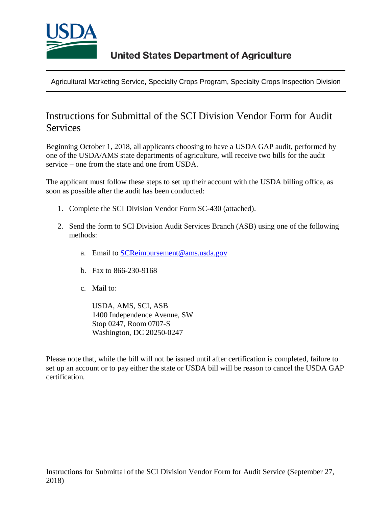

Agricultural Marketing Service, Specialty Crops Program, Specialty Crops Inspection Division

## Instructions for Submittal of the SCI Division Vendor Form for Audit **Services**

Beginning October 1, 2018, all applicants choosing to have a USDA GAP audit, performed by one of the USDA/AMS state departments of agriculture, will receive two bills for the audit service – one from the state and one from USDA.

The applicant must follow these steps to set up their account with the USDA billing office, as soon as possible after the audit has been conducted:

- 1. Complete the SCI Division Vendor Form SC-430 (attached).
- 2. Send the form to SCI Division Audit Services Branch (ASB) using one of the following methods:
	- a. Email to **SCReimbursement@ams.usda.gov**
	- b. Fax to 866-230-9168
	- c. Mail to:

USDA, AMS, SCI, ASB 1400 Independence Avenue, SW Stop 0247, Room 0707-S Washington, DC 20250-0247

Please note that, while the bill will not be issued until after certification is completed, failure to set up an account or to pay either the state or USDA bill will be reason to cancel the USDA GAP certification.